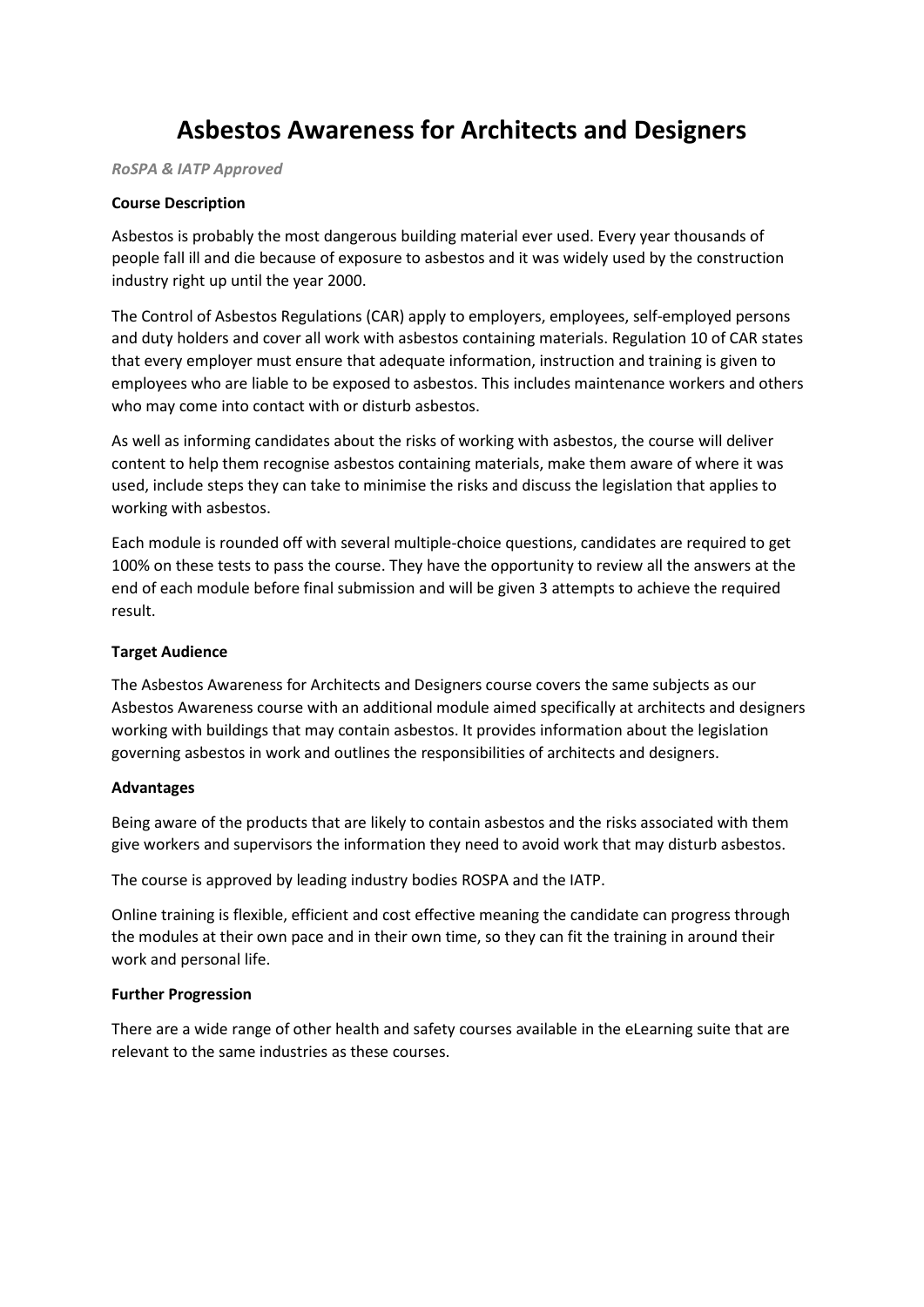# **Asbestos Awareness for Architects and Designers**

*RoSPA & IATP Approved*

#### **Course Description**

Asbestos is probably the most dangerous building material ever used. Every year thousands of people fall ill and die because of exposure to asbestos and it was widely used by the construction industry right up until the year 2000.

The Control of Asbestos Regulations (CAR) apply to employers, employees, self-employed persons and duty holders and cover all work with asbestos containing materials. Regulation 10 of CAR states that every employer must ensure that adequate information, instruction and training is given to employees who are liable to be exposed to asbestos. This includes maintenance workers and others who may come into contact with or disturb asbestos.

As well as informing candidates about the risks of working with asbestos, the course will deliver content to help them recognise asbestos containing materials, make them aware of where it was used, include steps they can take to minimise the risks and discuss the legislation that applies to working with asbestos.

Each module is rounded off with several multiple-choice questions, candidates are required to get 100% on these tests to pass the course. They have the opportunity to review all the answers at the end of each module before final submission and will be given 3 attempts to achieve the required result.

## **Target Audience**

The Asbestos Awareness for Architects and Designers course covers the same subjects as our Asbestos Awareness course with an additional module aimed specifically at architects and designers working with buildings that may contain asbestos. It provides information about the legislation governing asbestos in work and outlines the responsibilities of architects and designers.

#### **Advantages**

Being aware of the products that are likely to contain asbestos and the risks associated with them give workers and supervisors the information they need to avoid work that may disturb asbestos.

The course is approved by leading industry bodies ROSPA and the IATP.

Online training is flexible, efficient and cost effective meaning the candidate can progress through the modules at their own pace and in their own time, so they can fit the training in around their work and personal life.

# **Further Progression**

There are a wide range of other health and safety courses available in the eLearning suite that are relevant to the same industries as these courses.